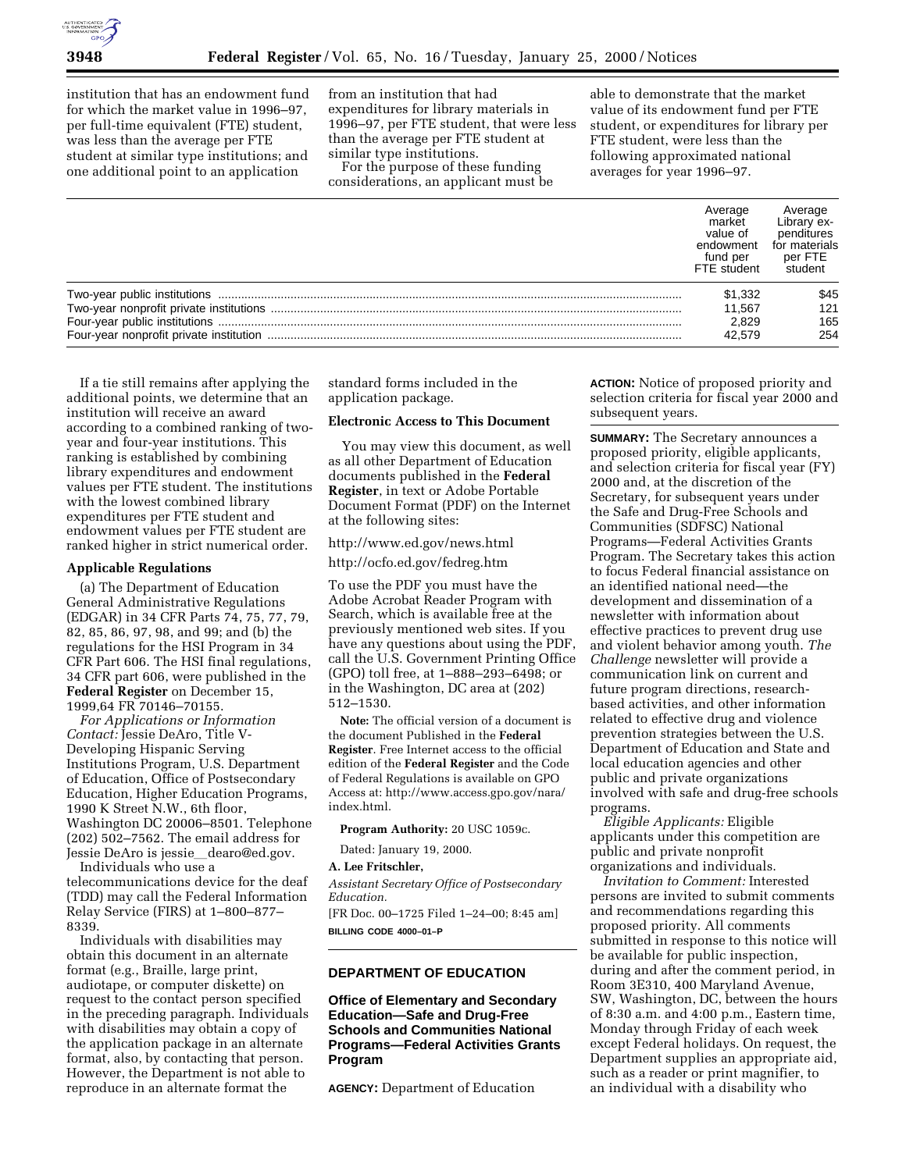

institution that has an endowment fund for which the market value in 1996–97, per full-time equivalent (FTE) student, was less than the average per FTE student at similar type institutions; and one additional point to an application

from an institution that had expenditures for library materials in 1996–97, per FTE student, that were less than the average per FTE student at similar type institutions.

For the purpose of these funding considerations, an applicant must be

able to demonstrate that the market value of its endowment fund per FTE student, or expenditures for library per FTE student, were less than the following approximated national averages for year 1996–97.

| Average<br>market<br>value of<br>endowment<br>fund per<br>FTE student | Average<br>Library ex-<br>penditures<br>for materials<br>per FTE<br>student |
|-----------------------------------------------------------------------|-----------------------------------------------------------------------------|
| \$1,332                                                               | \$45                                                                        |
| 11.567                                                                | 121                                                                         |
| 2.829                                                                 | 165                                                                         |
| 42.579                                                                | 254                                                                         |

If a tie still remains after applying the additional points, we determine that an institution will receive an award according to a combined ranking of twoyear and four-year institutions. This ranking is established by combining library expenditures and endowment values per FTE student. The institutions with the lowest combined library expenditures per FTE student and endowment values per FTE student are ranked higher in strict numerical order.

# **Applicable Regulations**

(a) The Department of Education General Administrative Regulations (EDGAR) in 34 CFR Parts 74, 75, 77, 79, 82, 85, 86, 97, 98, and 99; and (b) the regulations for the HSI Program in 34 CFR Part 606. The HSI final regulations, 34 CFR part 606, were published in the **Federal Register** on December 15, 1999,64 FR 70146–70155.

*For Applications or Information Contact:* Jessie DeAro, Title V-Developing Hispanic Serving Institutions Program, U.S. Department of Education, Office of Postsecondary Education, Higher Education Programs, 1990 K Street N.W., 6th floor, Washington DC 20006–8501. Telephone (202) 502–7562. The email address for Jessie DeAro is jessie\_dearo@ed.gov.

Individuals who use a telecommunications device for the deaf (TDD) may call the Federal Information Relay Service (FIRS) at 1–800–877– 8339.

Individuals with disabilities may obtain this document in an alternate format (e.g., Braille, large print, audiotape, or computer diskette) on request to the contact person specified in the preceding paragraph. Individuals with disabilities may obtain a copy of the application package in an alternate format, also, by contacting that person. However, the Department is not able to reproduce in an alternate format the

standard forms included in the application package.

# **Electronic Access to This Document**

You may view this document, as well as all other Department of Education documents published in the **Federal Register**, in text or Adobe Portable Document Format (PDF) on the Internet at the following sites:

http://www.ed.gov/news.html

http://ocfo.ed.gov/fedreg.htm

To use the PDF you must have the Adobe Acrobat Reader Program with Search, which is available free at the previously mentioned web sites. If you have any questions about using the PDF, call the U.S. Government Printing Office (GPO) toll free, at 1–888–293–6498; or in the Washington, DC area at (202) 512–1530.

**Note:** The official version of a document is the document Published in the **Federal Register**. Free Internet access to the official edition of the **Federal Register** and the Code of Federal Regulations is available on GPO Access at: http://www.access.gpo.gov/nara/ index.html.

**Program Authority:** 20 USC 1059c.

Dated: January 19, 2000.

**A. Lee Fritschler,**

*Assistant Secretary Office of Postsecondary Education.*

[FR Doc. 00–1725 Filed 1–24–00; 8:45 am] **BILLING CODE 4000–01–P**

# **DEPARTMENT OF EDUCATION**

**Office of Elementary and Secondary Education—Safe and Drug-Free Schools and Communities National Programs—Federal Activities Grants Program**

**AGENCY:** Department of Education

**ACTION:** Notice of proposed priority and selection criteria for fiscal year 2000 and subsequent years.

**SUMMARY:** The Secretary announces a proposed priority, eligible applicants, and selection criteria for fiscal year (FY) 2000 and, at the discretion of the Secretary, for subsequent years under the Safe and Drug-Free Schools and Communities (SDFSC) National Programs—Federal Activities Grants Program. The Secretary takes this action to focus Federal financial assistance on an identified national need—the development and dissemination of a newsletter with information about effective practices to prevent drug use and violent behavior among youth. *The Challenge* newsletter will provide a communication link on current and future program directions, researchbased activities, and other information related to effective drug and violence prevention strategies between the U.S. Department of Education and State and local education agencies and other public and private organizations involved with safe and drug-free schools programs.

*Eligible Applicants:* Eligible applicants under this competition are public and private nonprofit organizations and individuals.

*Invitation to Comment:* Interested persons are invited to submit comments and recommendations regarding this proposed priority. All comments submitted in response to this notice will be available for public inspection, during and after the comment period, in Room 3E310, 400 Maryland Avenue, SW, Washington, DC, between the hours of 8:30 a.m. and 4:00 p.m., Eastern time, Monday through Friday of each week except Federal holidays. On request, the Department supplies an appropriate aid, such as a reader or print magnifier, to an individual with a disability who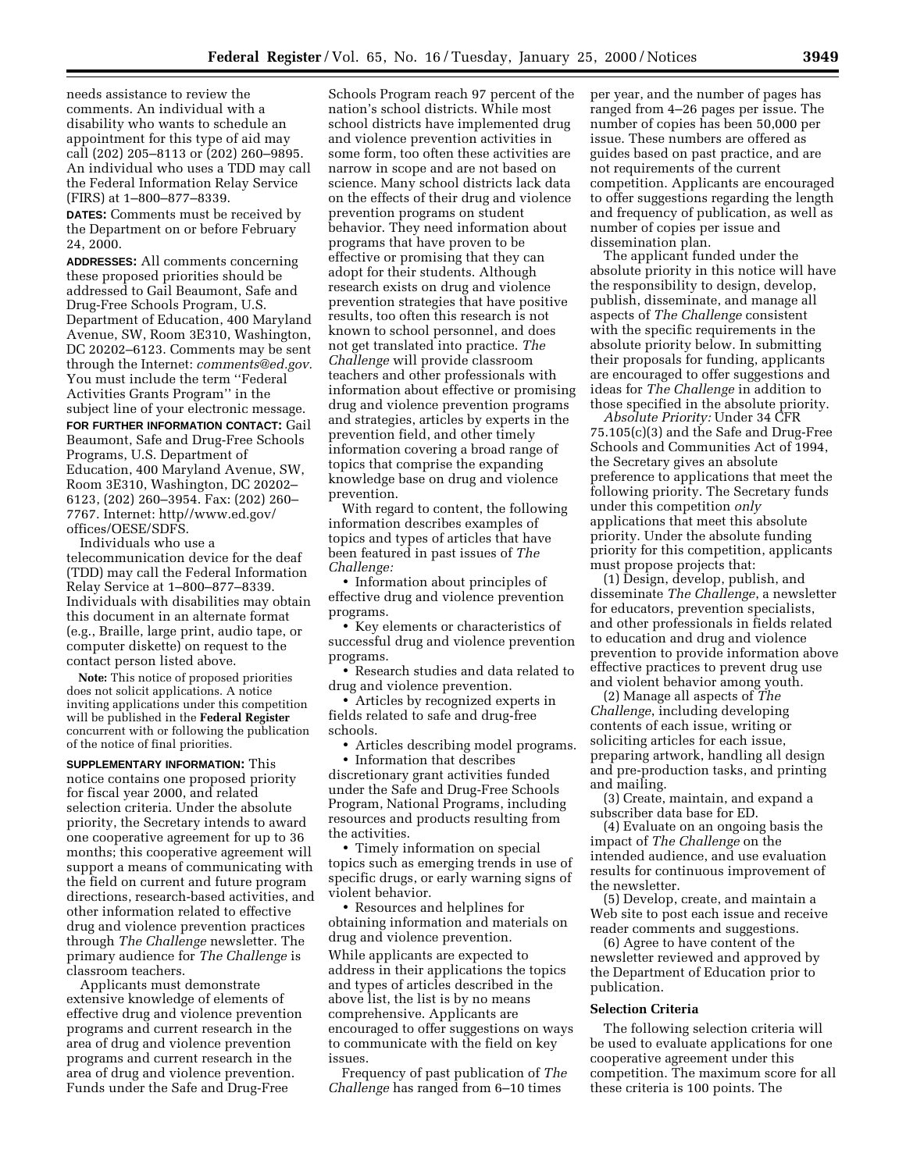needs assistance to review the comments. An individual with a disability who wants to schedule an appointment for this type of aid may call (202) 205–8113 or (202) 260–9895. An individual who uses a TDD may call the Federal Information Relay Service (FIRS) at 1–800–877–8339.

**DATES:** Comments must be received by the Department on or before February 24, 2000.

**ADDRESSES:** All comments concerning these proposed priorities should be addressed to Gail Beaumont, Safe and Drug-Free Schools Program, U.S. Department of Education, 400 Maryland Avenue, SW, Room 3E310, Washington, DC 20202–6123. Comments may be sent through the Internet: *comments@ed.gov.* You must include the term ''Federal Activities Grants Program'' in the subject line of your electronic message.

**FOR FURTHER INFORMATION CONTACT:** Gail Beaumont, Safe and Drug-Free Schools Programs, U.S. Department of Education, 400 Maryland Avenue, SW, Room 3E310, Washington, DC 20202– 6123, (202) 260–3954. Fax: (202) 260– 7767. Internet: http//www.ed.gov/ offices/OESE/SDFS.

Individuals who use a telecommunication device for the deaf (TDD) may call the Federal Information Relay Service at 1–800–877–8339. Individuals with disabilities may obtain this document in an alternate format (e.g., Braille, large print, audio tape, or computer diskette) on request to the contact person listed above.

**Note:** This notice of proposed priorities does not solicit applications. A notice inviting applications under this competition will be published in the **Federal Register** concurrent with or following the publication of the notice of final priorities.

**SUPPLEMENTARY INFORMATION:** This notice contains one proposed priority for fiscal year 2000, and related selection criteria. Under the absolute priority, the Secretary intends to award one cooperative agreement for up to 36 months; this cooperative agreement will support a means of communicating with the field on current and future program directions, research-based activities, and other information related to effective drug and violence prevention practices through *The Challenge* newsletter. The primary audience for *The Challenge* is classroom teachers.

Applicants must demonstrate extensive knowledge of elements of effective drug and violence prevention programs and current research in the area of drug and violence prevention programs and current research in the area of drug and violence prevention. Funds under the Safe and Drug-Free

Schools Program reach 97 percent of the nation's school districts. While most school districts have implemented drug and violence prevention activities in some form, too often these activities are narrow in scope and are not based on science. Many school districts lack data on the effects of their drug and violence prevention programs on student behavior. They need information about programs that have proven to be effective or promising that they can adopt for their students. Although research exists on drug and violence prevention strategies that have positive results, too often this research is not known to school personnel, and does not get translated into practice. *The Challenge* will provide classroom teachers and other professionals with information about effective or promising drug and violence prevention programs and strategies, articles by experts in the prevention field, and other timely information covering a broad range of topics that comprise the expanding knowledge base on drug and violence prevention.

With regard to content, the following information describes examples of topics and types of articles that have been featured in past issues of *The Challenge:*

• Information about principles of effective drug and violence prevention programs.

• Key elements or characteristics of successful drug and violence prevention programs.

• Research studies and data related to drug and violence prevention.

• Articles by recognized experts in fields related to safe and drug-free schools.

• Articles describing model programs.

• Information that describes discretionary grant activities funded under the Safe and Drug-Free Schools Program, National Programs, including resources and products resulting from the activities.

• Timely information on special topics such as emerging trends in use of specific drugs, or early warning signs of violent behavior.

• Resources and helplines for obtaining information and materials on drug and violence prevention.

While applicants are expected to address in their applications the topics and types of articles described in the above list, the list is by no means comprehensive. Applicants are encouraged to offer suggestions on ways to communicate with the field on key issues.

Frequency of past publication of *The Challenge* has ranged from 6–10 times

per year, and the number of pages has ranged from 4–26 pages per issue. The number of copies has been 50,000 per issue. These numbers are offered as guides based on past practice, and are not requirements of the current competition. Applicants are encouraged to offer suggestions regarding the length and frequency of publication, as well as number of copies per issue and dissemination plan.

The applicant funded under the absolute priority in this notice will have the responsibility to design, develop, publish, disseminate, and manage all aspects of *The Challenge* consistent with the specific requirements in the absolute priority below. In submitting their proposals for funding, applicants are encouraged to offer suggestions and ideas for *The Challenge* in addition to those specified in the absolute priority.

*Absolute Priority:* Under 34 CFR 75.105(c)(3) and the Safe and Drug-Free Schools and Communities Act of 1994, the Secretary gives an absolute preference to applications that meet the following priority. The Secretary funds under this competition *only* applications that meet this absolute priority. Under the absolute funding priority for this competition, applicants must propose projects that:

(1) Design, develop, publish, and disseminate *The Challenge*, a newsletter for educators, prevention specialists, and other professionals in fields related to education and drug and violence prevention to provide information above effective practices to prevent drug use and violent behavior among youth.

(2) Manage all aspects of *The Challenge*, including developing contents of each issue, writing or soliciting articles for each issue, preparing artwork, handling all design and pre-production tasks, and printing and mailing.

(3) Create, maintain, and expand a subscriber data base for ED.

(4) Evaluate on an ongoing basis the impact of *The Challenge* on the intended audience, and use evaluation results for continuous improvement of the newsletter.

(5) Develop, create, and maintain a Web site to post each issue and receive reader comments and suggestions.

(6) Agree to have content of the newsletter reviewed and approved by the Department of Education prior to publication.

#### **Selection Criteria**

The following selection criteria will be used to evaluate applications for one cooperative agreement under this competition. The maximum score for all these criteria is 100 points. The